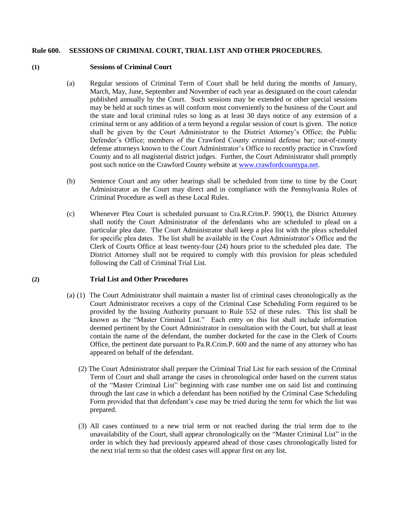## **Rule 600. SESSIONS OF CRIMINAL COURT, TRIAL LIST AND OTHER PROCEDURES.**

## **(1) Sessions of Criminal Court**

- (a) Regular sessions of Criminal Term of Court shall be held during the months of January, March, May, June, September and November of each year as designated on the court calendar published annually by the Court. Such sessions may be extended or other special sessions may be held at such times as will conform most conveniently to the business of the Court and the state and local criminal rules so long as at least 30 days notice of any extension of a criminal term or any addition of a term beyond a regular session of court is given. The notice shall be given by the Court Administrator to the District Attorney's Office; the Public Defender's Office; members of the Crawford County criminal defense bar; out-of-county defense attorneys known to the Court Administrator's Office to recently practice in Crawford County and to all magisterial district judges. Further, the Court Administrator shall promptly post such notice on the Crawford County website at [www.crawfordcountypa.net.](http://www.crawfordcountypa.net/)
- (b) Sentence Court and any other hearings shall be scheduled from time to time by the Court Administrator as the Court may direct and in compliance with the Pennsylvania Rules of Criminal Procedure as well as these Local Rules.
- (c) Whenever Plea Court is scheduled pursuant to Cra.R.Crim.P. 590(1), the District Attorney shall notify the Court Administrator of the defendants who are scheduled to plead on a particular plea date. The Court Administrator shall keep a plea list with the pleas scheduled for specific plea dates. The list shall be available in the Court Administrator's Office and the Clerk of Courts Office at least twenty-four (24) hours prior to the scheduled plea date. The District Attorney shall not be required to comply with this provision for pleas scheduled following the Call of Criminal Trial List.

## **(2) Trial List and Other Procedures**

- (a) (1) The Court Administrator shall maintain a master list of criminal cases chronologically as the Court Administrator receives a copy of the Criminal Case Scheduling Form required to be provided by the Issuing Authority pursuant to Rule 552 of these rules. This list shall be known as the "Master Criminal List." Each entry on this list shall include information deemed pertinent by the Court Administrator in consultation with the Court, but shall at least contain the name of the defendant, the number docketed for the case in the Clerk of Courts Office, the pertinent date pursuant to Pa.R.Crim.P. 600 and the name of any attorney who has appeared on behalf of the defendant.
	- (2) The Court Administrator shall prepare the Criminal Trial List for each session of the Criminal Term of Court and shall arrange the cases in chronological order based on the current status of the "Master Criminal List" beginning with case number one on said list and continuing through the last case in which a defendant has been notified by the Criminal Case Scheduling Form provided that that defendant's case may be tried during the term for which the list was prepared.
	- (3) All cases continued to a new trial term or not reached during the trial term due to the unavailability of the Court, shall appear chronologically on the "Master Criminal List" in the order in which they had previously appeared ahead of those cases chronologically listed for the next trial term so that the oldest cases will appear first on any list.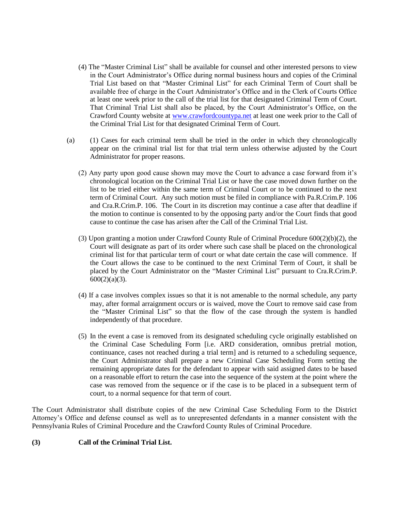- (4) The "Master Criminal List" shall be available for counsel and other interested persons to view in the Court Administrator's Office during normal business hours and copies of the Criminal Trial List based on that "Master Criminal List" for each Criminal Term of Court shall be available free of charge in the Court Administrator's Office and in the Clerk of Courts Office at least one week prior to the call of the trial list for that designated Criminal Term of Court. That Criminal Trial List shall also be placed, by the Court Administrator's Office, on the Crawford County website at [www.crawfordcountypa.net](http://www.crawfordcountypa.net/) at least one week prior to the Call of the Criminal Trial List for that designated Criminal Term of Court.
- (a) (1) Cases for each criminal term shall be tried in the order in which they chronologically appear on the criminal trial list for that trial term unless otherwise adjusted by the Court Administrator for proper reasons.
	- (2) Any party upon good cause shown may move the Court to advance a case forward from it's chronological location on the Criminal Trial List or have the case moved down further on the list to be tried either within the same term of Criminal Court or to be continued to the next term of Criminal Court. Any such motion must be filed in compliance with Pa.R.Crim.P. 106 and Cra.R.Crim.P. 106. The Court in its discretion may continue a case after that deadline if the motion to continue is consented to by the opposing party and/or the Court finds that good cause to continue the case has arisen after the Call of the Criminal Trial List.
	- (3) Upon granting a motion under Crawford County Rule of Criminal Procedure 600(2)(b)(2), the Court will designate as part of its order where such case shall be placed on the chronological criminal list for that particular term of court or what date certain the case will commence. If the Court allows the case to be continued to the next Criminal Term of Court, it shall be placed by the Court Administrator on the "Master Criminal List" pursuant to Cra.R.Crim.P.  $600(2)(a)(3)$ .
	- (4) If a case involves complex issues so that it is not amenable to the normal schedule, any party may, after formal arraignment occurs or is waived, move the Court to remove said case from the "Master Criminal List" so that the flow of the case through the system is handled independently of that procedure.
	- (5) In the event a case is removed from its designated scheduling cycle originally established on the Criminal Case Scheduling Form [i.e. ARD consideration, omnibus pretrial motion, continuance, cases not reached during a trial term] and is returned to a scheduling sequence, the Court Administrator shall prepare a new Criminal Case Scheduling Form setting the remaining appropriate dates for the defendant to appear with said assigned dates to be based on a reasonable effort to return the case into the sequence of the system at the point where the case was removed from the sequence or if the case is to be placed in a subsequent term of court, to a normal sequence for that term of court.

The Court Administrator shall distribute copies of the new Criminal Case Scheduling Form to the District Attorney's Office and defense counsel as well as to unrepresented defendants in a manner consistent with the Pennsylvania Rules of Criminal Procedure and the Crawford County Rules of Criminal Procedure.

## **(3) Call of the Criminal Trial List.**